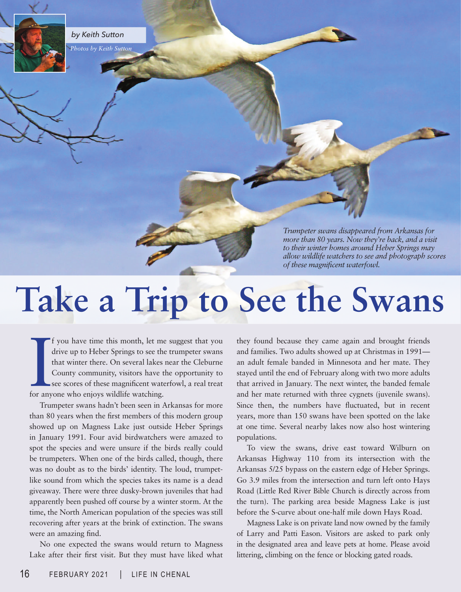

*by Keith Sutton*

*Photos by Keith Sutton*

*Trumpeter swans disappeared from Arkansas for more than 80 years. Now they're back, and a visit to their winter homes around Heber Springs may allow wildlife watchers to see and photograph scores of these magnificent waterfowl.*

## **Take a Trip to See the Swans**

If you have time this month, let m<br>drive up to Heber Springs to see th<br>that winter there. On several lakes<br>County community, visitors have t<br>see scores of these magnificent wat<br>for anyone who enjoys wildlife watching. f you have time this month, let me suggest that you drive up to Heber Springs to see the trumpeter swans that winter there. On several lakes near the Cleburne County community, visitors have the opportunity to see scores of these magnificent waterfowl, a real treat

Trumpeter swans hadn't been seen in Arkansas for more than 80 years when the first members of this modern group showed up on Magness Lake just outside Heber Springs in January 1991. Four avid birdwatchers were amazed to spot the species and were unsure if the birds really could be trumpeters. When one of the birds called, though, there was no doubt as to the birds' identity. The loud, trumpetlike sound from which the species takes its name is a dead giveaway. There were three dusky-brown juveniles that had apparently been pushed off course by a winter storm. At the time, the North American population of the species was still recovering after years at the brink of extinction. The swans were an amazing find.

No one expected the swans would return to Magness Lake after their first visit. But they must have liked what they found because they came again and brought friends and families. Two adults showed up at Christmas in 1991 an adult female banded in Minnesota and her mate. They stayed until the end of February along with two more adults that arrived in January. The next winter, the banded female and her mate returned with three cygnets (juvenile swans). Since then, the numbers have fluctuated, but in recent years, more than 150 swans have been spotted on the lake at one time. Several nearby lakes now also host wintering populations.

To view the swans, drive east toward Wilburn on Arkansas Highway 110 from its intersection with the Arkansas 5/25 bypass on the eastern edge of Heber Springs. Go 3.9 miles from the intersection and turn left onto Hays Road (Little Red River Bible Church is directly across from the turn). The parking area beside Magness Lake is just before the S-curve about one-half mile down Hays Road.

Magness Lake is on private land now owned by the family of Larry and Patti Eason. Visitors are asked to park only in the designated area and leave pets at home. Please avoid littering, climbing on the fence or blocking gated roads.